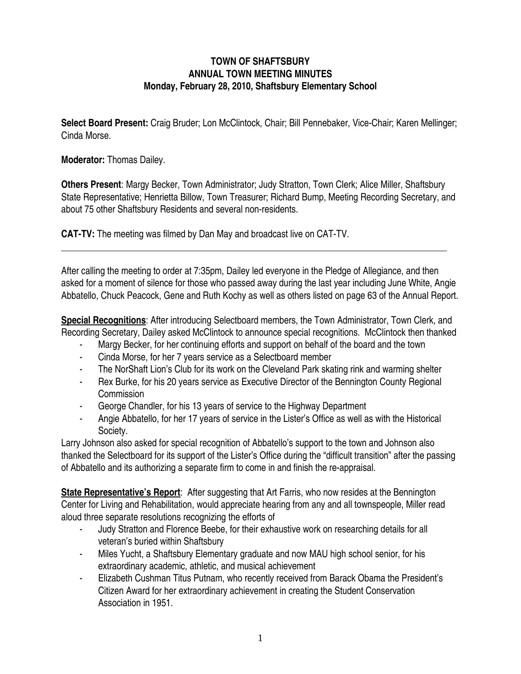## **TOWN OF SHAFTSBURY ANNUAL TOWN MEETING MINUTES Monday, February 28, 2010, Shaftsbury Elementary School**

**Select Board Present:** Craig Bruder; Lon McClintock, Chair; Bill Pennebaker, Vice-Chair; Karen Mellinger; Cinda Morse*.*

**Moderator:** Thomas Dailey.

**Others Present**: Margy Becker, Town Administrator; Judy Stratton, Town Clerk; Alice Miller, Shaftsbury State Representative; Henrietta Billow, Town Treasurer; Richard Bump, Meeting Recording Secretary, and about 75 other Shaftsbury Residents and several non-residents.

**CAT-TV:** The meeting was filmed by Dan May and broadcast live on CAT-TV.

After calling the meeting to order at 7:35pm, Dailey led everyone in the Pledge of Allegiance, and then asked for a moment of silence for those who passed away during the last year including June White, Angie Abbatello, Chuck Peacock, Gene and Ruth Kochy as well as others listed on page 63 of the Annual Report.

**Special Recognitions**: After introducing Selectboard members, the Town Administrator, Town Clerk, and Recording Secretary, Dailey asked McClintock to announce special recognitions. McClintock then thanked

- Margy Becker, for her continuing efforts and support on behalf of the board and the town
- Cinda Morse, for her 7 years service as a Selectboard member
- The NorShaft Lion's Club for its work on the Cleveland Park skating rink and warming shelter
- Rex Burke, for his 20 years service as Executive Director of the Bennington County Regional **Commission**
- George Chandler, for his 13 years of service to the Highway Department
- Angie Abbatello, for her 17 years of service in the Lister's Office as well as with the Historical Society.

Larry Johnson also asked for special recognition of Abbatello's support to the town and Johnson also thanked the Selectboard for its support of the Lister's Office during the "difficult transition" after the passing of Abbatello and its authorizing a separate firm to come in and finish the re-appraisal.

**State Representative's Report**: After suggesting that Art Farris, who now resides at the Bennington Center for Living and Rehabilitation, would appreciate hearing from any and all townspeople, Miller read aloud three separate resolutions recognizing the efforts of

- Judy Stratton and Florence Beebe, for their exhaustive work on researching details for all veteran's buried within Shaftsbury
- Miles Yucht, a Shaftsbury Elementary graduate and now MAU high school senior, for his extraordinary academic, athletic, and musical achievement
- Elizabeth Cushman Titus Putnam, who recently received from Barack Obama the President's Citizen Award for her extraordinary achievement in creating the Student Conservation Association in 1951.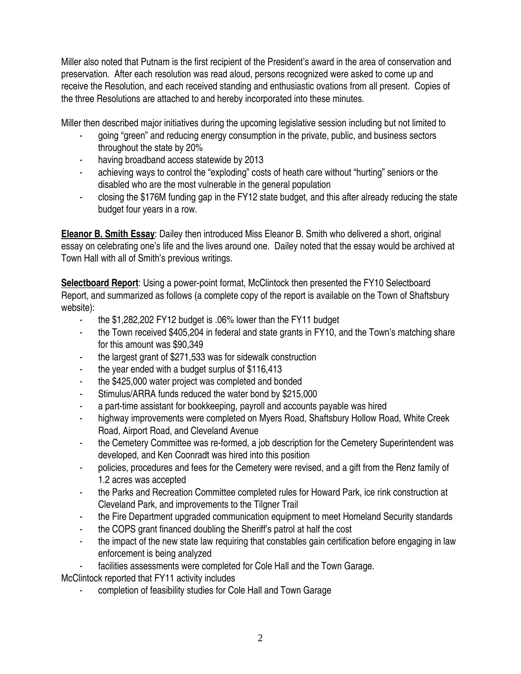Miller also noted that Putnam is the first recipient of the President's award in the area of conservation and preservation. After each resolution was read aloud, persons recognized were asked to come up and receive the Resolution, and each received standing and enthusiastic ovations from all present. Copies of the three Resolutions are attached to and hereby incorporated into these minutes.

Miller then described major initiatives during the upcoming legislative session including but not limited to

- going "green" and reducing energy consumption in the private, public, and business sectors throughout the state by 20%
- having broadband access statewide by 2013
- achieving ways to control the "exploding" costs of heath care without "hurting" seniors or the disabled who are the most vulnerable in the general population
- closing the \$176M funding gap in the FY12 state budget, and this after already reducing the state budget four years in a row.

**Eleanor B. Smith Essay**: Dailey then introduced Miss Eleanor B. Smith who delivered a short, original essay on celebrating one's life and the lives around one. Dailey noted that the essay would be archived at Town Hall with all of Smith's previous writings.

**Selectboard Report**: Using a power-point format, McClintock then presented the FY10 Selectboard Report, and summarized as follows (a complete copy of the report is available on the Town of Shaftsbury website):

- the \$1,282,202 FY12 budget is .06% lower than the FY11 budget
- the Town received \$405,204 in federal and state grants in FY10, and the Town's matching share for this amount was \$90,349
- the largest grant of \$271,533 was for sidewalk construction
- the year ended with a budget surplus of  $$116,413$
- the \$425,000 water project was completed and bonded
- Stimulus/ARRA funds reduced the water bond by \$215,000
- a part-time assistant for bookkeeping, payroll and accounts payable was hired
- highway improvements were completed on Myers Road, Shaftsbury Hollow Road, White Creek Road, Airport Road, and Cleveland Avenue
- the Cemetery Committee was re-formed, a job description for the Cemetery Superintendent was developed, and Ken Coonradt was hired into this position
- policies, procedures and fees for the Cemetery were revised, and a gift from the Renz family of 1.2 acres was accepted
- the Parks and Recreation Committee completed rules for Howard Park, ice rink construction at Cleveland Park, and improvements to the Tilgner Trail
- the Fire Department upgraded communication equipment to meet Homeland Security standards
- the COPS grant financed doubling the Sheriff's patrol at half the cost
- the impact of the new state law requiring that constables gain certification before engaging in law enforcement is being analyzed
- facilities assessments were completed for Cole Hall and the Town Garage.

McClintock reported that FY11 activity includes

- completion of feasibility studies for Cole Hall and Town Garage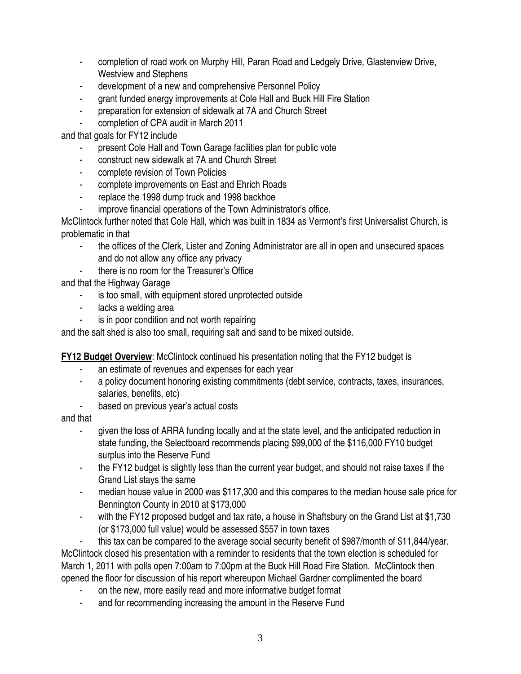- completion of road work on Murphy Hill, Paran Road and Ledgely Drive, Glastenview Drive, Westview and Stephens
- development of a new and comprehensive Personnel Policy
- grant funded energy improvements at Cole Hall and Buck Hill Fire Station
- preparation for extension of sidewalk at 7A and Church Street
- completion of CPA audit in March 2011

and that goals for FY12 include

- present Cole Hall and Town Garage facilities plan for public vote
- construct new sidewalk at 7A and Church Street
- complete revision of Town Policies
- complete improvements on East and Ehrich Roads
- replace the 1998 dump truck and 1998 backhoe
- improve financial operations of the Town Administrator's office.

McClintock further noted that Cole Hall, which was built in 1834 as Vermont's first Universalist Church, is problematic in that

- the offices of the Clerk, Lister and Zoning Administrator are all in open and unsecured spaces and do not allow any office any privacy
- there is no room for the Treasurer's Office

and that the Highway Garage

- is too small, with equipment stored unprotected outside
- lacks a welding area
- is in poor condition and not worth repairing

and the salt shed is also too small, requiring salt and sand to be mixed outside.

**FY12 Budget Overview**: McClintock continued his presentation noting that the FY12 budget is

- an estimate of revenues and expenses for each year
- a policy document honoring existing commitments (debt service, contracts, taxes, insurances, salaries, benefits, etc)
- based on previous year's actual costs

and that

- given the loss of ARRA funding locally and at the state level, and the anticipated reduction in state funding, the Selectboard recommends placing \$99,000 of the \$116,000 FY10 budget surplus into the Reserve Fund
- the FY12 budget is slightly less than the current year budget, and should not raise taxes if the Grand List stays the same
- median house value in 2000 was \$117,300 and this compares to the median house sale price for Bennington County in 2010 at \$173,000
- with the FY12 proposed budget and tax rate, a house in Shaftsbury on the Grand List at \$1,730 (or \$173,000 full value) would be assessed \$557 in town taxes
- this tax can be compared to the average social security benefit of \$987/month of \$11,844/year.

McClintock closed his presentation with a reminder to residents that the town election is scheduled for March 1, 2011 with polls open 7:00am to 7:00pm at the Buck Hill Road Fire Station. McClintock then opened the floor for discussion of his report whereupon Michael Gardner complimented the board

- on the new, more easily read and more informative budget format
- and for recommending increasing the amount in the Reserve Fund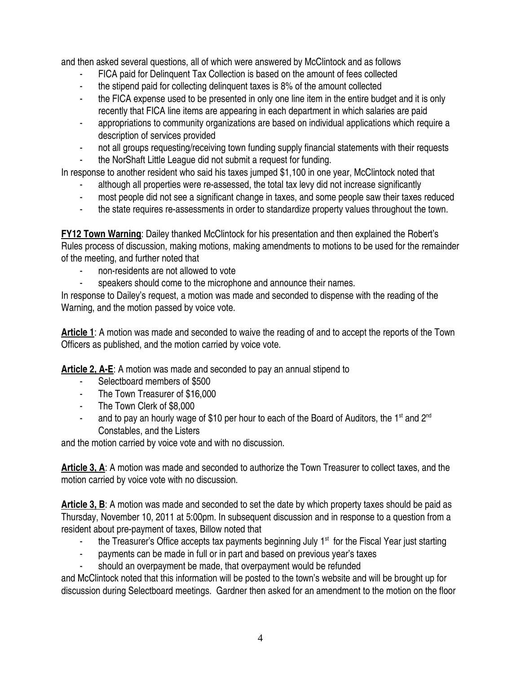and then asked several questions, all of which were answered by McClintock and as follows

- FICA paid for Delinquent Tax Collection is based on the amount of fees collected
- the stipend paid for collecting delinquent taxes is 8% of the amount collected
- the FICA expense used to be presented in only one line item in the entire budget and it is only recently that FICA line items are appearing in each department in which salaries are paid
- appropriations to community organizations are based on individual applications which require a description of services provided
- not all groups requesting/receiving town funding supply financial statements with their requests
- the NorShaft Little League did not submit a request for funding.

In response to another resident who said his taxes jumped \$1,100 in one year, McClintock noted that

- although all properties were re-assessed, the total tax levy did not increase significantly
- most people did not see a significant change in taxes, and some people saw their taxes reduced
- the state requires re-assessments in order to standardize property values throughout the town.

**FY12 Town Warning**: Dailey thanked McClintock for his presentation and then explained the Robert's Rules process of discussion, making motions, making amendments to motions to be used for the remainder of the meeting, and further noted that

- non-residents are not allowed to vote
- speakers should come to the microphone and announce their names.

In response to Dailey's request, a motion was made and seconded to dispense with the reading of the Warning, and the motion passed by voice vote.

**Article 1**: A motion was made and seconded to waive the reading of and to accept the reports of the Town Officers as published, and the motion carried by voice vote.

**Article 2, A-E**: A motion was made and seconded to pay an annual stipend to

- Selectboard members of \$500
- The Town Treasurer of \$16,000
- The Town Clerk of \$8,000
- and to pay an hourly wage of \$10 per hour to each of the Board of Auditors, the 1<sup>st</sup> and  $2^{nd}$ Constables, and the Listers

and the motion carried by voice vote and with no discussion.

**Article 3, A**: A motion was made and seconded to authorize the Town Treasurer to collect taxes, and the motion carried by voice vote with no discussion.

**Article 3, B**: A motion was made and seconded to set the date by which property taxes should be paid as Thursday, November 10, 2011 at 5:00pm. In subsequent discussion and in response to a question from a resident about pre-payment of taxes, Billow noted that

- the Treasurer's Office accepts tax payments beginning July  $1<sup>st</sup>$  for the Fiscal Year just starting
- payments can be made in full or in part and based on previous year's taxes
- should an overpayment be made, that overpayment would be refunded

and McClintock noted that this information will be posted to the town's website and will be brought up for discussion during Selectboard meetings. Gardner then asked for an amendment to the motion on the floor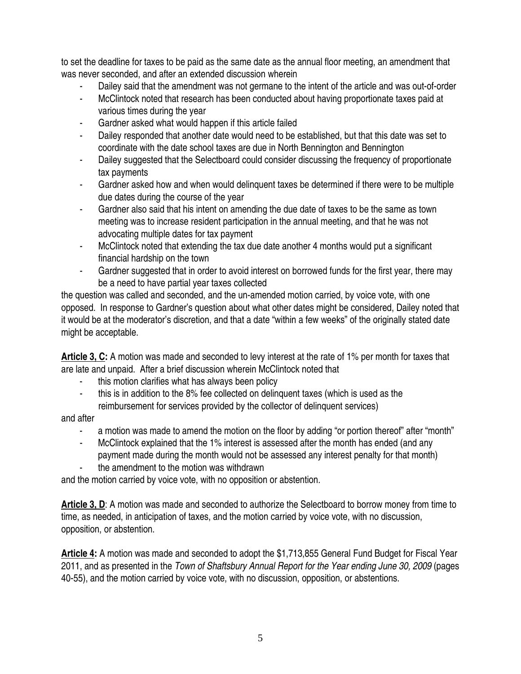to set the deadline for taxes to be paid as the same date as the annual floor meeting, an amendment that was never seconded, and after an extended discussion wherein

- Dailey said that the amendment was not germane to the intent of the article and was out-of-order
- McClintock noted that research has been conducted about having proportionate taxes paid at various times during the year
- Gardner asked what would happen if this article failed
- Dailey responded that another date would need to be established, but that this date was set to coordinate with the date school taxes are due in North Bennington and Bennington
- Dailey suggested that the Selectboard could consider discussing the frequency of proportionate tax payments
- Gardner asked how and when would delinguent taxes be determined if there were to be multiple due dates during the course of the year
- Gardner also said that his intent on amending the due date of taxes to be the same as town meeting was to increase resident participation in the annual meeting, and that he was not advocating multiple dates for tax payment
- McClintock noted that extending the tax due date another 4 months would put a significant financial hardship on the town
- Gardner suggested that in order to avoid interest on borrowed funds for the first year, there may be a need to have partial year taxes collected

the question was called and seconded, and the un-amended motion carried, by voice vote, with one opposed. In response to Gardner's question about what other dates might be considered, Dailey noted that it would be at the moderator's discretion, and that a date "within a few weeks" of the originally stated date might be acceptable.

**Article 3, C:** A motion was made and seconded to levy interest at the rate of 1% per month for taxes that are late and unpaid. After a brief discussion wherein McClintock noted that

- this motion clarifies what has always been policy
- this is in addition to the 8% fee collected on delinguent taxes (which is used as the reimbursement for services provided by the collector of delinquent services)

and after

- a motion was made to amend the motion on the floor by adding "or portion thereof" after "month"
- McClintock explained that the 1% interest is assessed after the month has ended (and any payment made during the month would not be assessed any interest penalty for that month)
- the amendment to the motion was withdrawn

and the motion carried by voice vote, with no opposition or abstention.

**Article 3, D**: A motion was made and seconded to authorize the Selectboard to borrow money from time to time, as needed, in anticipation of taxes, and the motion carried by voice vote, with no discussion, opposition, or abstention.

**Article 4:** A motion was made and seconded to adopt the \$1,713,855 General Fund Budget for Fiscal Year 2011, and as presented in the *Town of Shaftsbury Annual Report for the Year ending June 30, 2009* (pages 40-55), and the motion carried by voice vote, with no discussion, opposition, or abstentions.